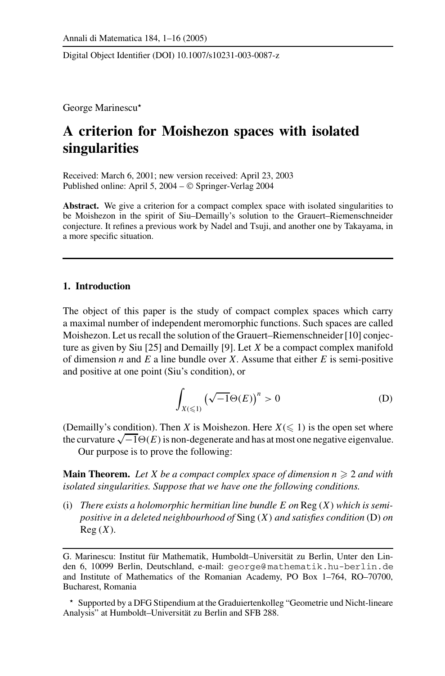Digital Object Identifier (DOI) 10.1007/s10231-003-0087-z

George Marinescu

# **A criterion for Moishezon spaces with isolated singularities**

Received: March 6, 2001; new version received: April 23, 2003 Published online: April 5, 2004 – © Springer-Verlag 2004

Abstract. We give a criterion for a compact complex space with isolated singularities to be Moishezon in the spirit of Siu–Demailly's solution to the Grauert–Riemenschneider conjecture. It refines a previous work by Nadel and Tsuji, and another one by Takayama, in a more specific situation.

## **1. Introduction**

The object of this paper is the study of compact complex spaces which carry a maximal number of independent meromorphic functions. Such spaces are called Moishezon. Let us recall the solution of the Grauert–Riemenschneider [10] conjecture as given by Siu [25] and Demailly [9]. Let *X* be a compact complex manifold of dimension *n* and *E* a line bundle over *X*. Assume that either *E* is semi-positive and positive at one point (Siu's condition), or

$$
\int_{X(\leqslant 1)} \left(\sqrt{-1}\Theta(E)\right)^n > 0 \tag{D}
$$

(Demailly's condition). Then *X* is Moishezon. Here  $X \leq 1$ ) is the open set where the curvature  $\sqrt{-1}\Theta(E)$  is non-degenerate and has at most one negative eigenvalue.

Our purpose is to prove the following:

**Main Theorem.** Let X be a compact complex space of dimension  $n \geq 2$  and with *isolated singularities. Suppose that we have one the following conditions.*

(i) *There exists a holomorphic hermitian line bundle E on* Reg (*X*) *which is semipositive in a deleted neighbourhood of* Sing (*X*) *and satisfies condition* (D) *on* Reg (*X*)*.*

G. Marinescu: Institut für Mathematik, Humboldt–Universität zu Berlin, Unter den Linden 6, 10099 Berlin, Deutschland, e-mail: george@ mathematik.hu-berlin.de and Institute of Mathematics of the Romanian Academy, PO Box 1–764, RO–70700, Bucharest, Romania

Supported by a DFG Stipendium at the Graduiertenkolleg "Geometrie und Nicht-lineare Analysis" at Humboldt–Universität zu Berlin and SFB 288.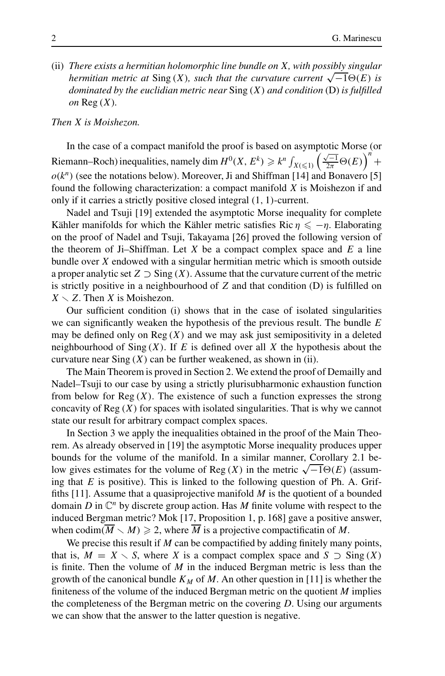(ii) *There exists a hermitian holomorphic line bundle on X, with possibly singular hermitian metric at*  $Sing(X)$ *, such that the curvature current*  $\sqrt{-1}\Theta(E)$  *is dominated by the euclidian metric near* Sing (*X*) *and condition* (D) *is fulfilled on* Reg (*X*)*.*

## *Then X is Moishezon.*

In the case of a compact manifold the proof is based on asymptotic Morse (or Riemann–Roch) inequalities, namely dim  $H^0(X, E^k) \geq k^n \int_{X(\leq 1)} \left(\frac{\sqrt{-1}}{2\pi} \Theta(E)\right)^n +$  $o(k^n)$  (see the notations below). Moreover, Ji and Shiffman [14] and Bonavero [5] found the following characterization: a compact manifold *X* is Moishezon if and only if it carries a strictly positive closed integral (1, 1)-current.

Nadel and Tsuji [19] extended the asymptotic Morse inequality for complete Kähler manifolds for which the Kähler metric satisfies Ric  $\eta \leq -\eta$ . Elaborating on the proof of Nadel and Tsuji, Takayama [26] proved the following version of the theorem of Ji–Shiffman. Let *X* be a compact complex space and *E* a line bundle over *X* endowed with a singular hermitian metric which is smooth outside a proper analytic set  $Z \supset$  Sing  $(X)$ . Assume that the curvature current of the metric is strictly positive in a neighbourhood of *Z* and that condition (D) is fulfilled on  $X \setminus Z$ . Then *X* is Moishezon.

Our sufficient condition (i) shows that in the case of isolated singularities we can significantly weaken the hypothesis of the previous result. The bundle *E* may be defined only on  $Reg(X)$  and we may ask just semipositivity in a deleted neighbourhood of Sing  $(X)$ . If *E* is defined over all *X* the hypothesis about the curvature near  $Sing(X)$  can be further weakened, as shown in (ii).

The Main Theorem is proved in Section 2. We extend the proof of Demailly and Nadel–Tsuji to our case by using a strictly plurisubharmonic exhaustion function from below for  $Reg(X)$ . The existence of such a function expresses the strong concavity of  $Reg(X)$  for spaces with isolated singularities. That is why we cannot state our result for arbitrary compact complex spaces.

In Section 3 we apply the inequalities obtained in the proof of the Main Theorem. As already observed in [19] the asymptotic Morse inequality produces upper bounds for the volume of the manifold. In a similar manner, Corollary 2.1 below gives estimates for the volume of Reg  $(X)$  in the metric  $\sqrt{-1}\Theta(E)$  (assuming that *E* is positive). This is linked to the following question of Ph. A. Griffiths [11]. Assume that a quasiprojective manifold *M* is the quotient of a bounded domain *D* in  $\mathbb{C}^n$  by discrete group action. Has *M* finite volume with respect to the induced Bergman metric? Mok [17, Proposition 1, p. 168] gave a positive answer, when codim( $\overline{M} \setminus M$ )  $\geqslant$  2, where  $\overline{M}$  is a projective compactificatin of *M*.

We precise this result if *M* can be compactified by adding finitely many points, that is,  $M = X \setminus S$ , where *X* is a compact complex space and  $S \supseteq Sing(X)$ is finite. Then the volume of *M* in the induced Bergman metric is less than the growth of the canonical bundle  $K_M$  of M. An other question in [11] is whether the finiteness of the volume of the induced Bergman metric on the quotient *M* implies the completeness of the Bergman metric on the covering *D*. Using our arguments we can show that the answer to the latter question is negative.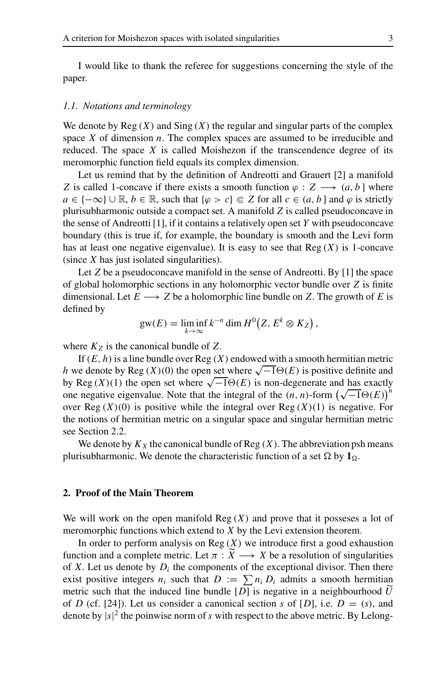I would like to thank the referee for suggestions concerning the style of the paper.

### *1.1. Notations and terminology*

We denote by  $Reg(X)$  and  $Sing(X)$  the regular and singular parts of the complex space *X* of dimension *n*. The complex spaces are assumed to be irreducible and reduced. The space *X* is called Moishezon if the transcendence degree of its meromorphic function field equals its complex dimension.

Let us remind that by the definition of Andreotti and Grauert [2] a manifold *Z* is called 1-concave if there exists a smooth function  $\varphi$  : *Z*  $\longrightarrow$   $(a, b]$  where *a* ∈ { $-\infty$ } ∪ ℝ, *b* ∈ ℝ, such that { $\varphi > c$ } ∈ *Z* for all *c* ∈ (*a*, *b* ] and  $\varphi$  is strictly plurisubharmonic outside a compact set. A manifold *Z* is called pseudoconcave in the sense of Andreotti [1], if it contains a relatively open set *Y* with pseudoconcave boundary (this is true if, for example, the boundary is smooth and the Levi form has at least one negative eigenvalue). It is easy to see that  $Reg(X)$  is 1-concave (since *X* has just isolated singularities).

Let *Z* be a pseudoconcave manifold in the sense of Andreotti. By [1] the space of global holomorphic sections in any holomorphic vector bundle over *Z* is finite dimensional. Let  $E \longrightarrow Z$  be a holomorphic line bundle on Z. The growth of E is defined by

$$
gw(E) = \liminf_{k \to \infty} k^{-n} \dim H^0(Z, E^k \otimes K_Z),
$$

where  $K_Z$  is the canonical bundle of  $Z$ .

If  $(E, h)$  is a line bundle over Reg  $(X)$  endowed with a smooth hermitian metric *h* we denote by Reg  $(X)(0)$  the open set where  $\sqrt{-1}\Theta(E)$  is positive definite and by Reg  $(X)(1)$  the open set where  $\sqrt{-1\Theta(E)}$  is non-degenerate and has exactly by Reg (*X*)(1) the open set where  $\sqrt{-1}$  $\Theta(E)$  is non-degenerate and has exactly one negative eigenvalue. Note that the integral of the  $(n, n)$ -form  $(\sqrt{-1}\Theta(E))^n$ over  $\text{Reg}(X)(0)$  is positive while the integral over  $\text{Reg}(X)(1)$  is negative. For the notions of hermitian metric on a singular space and singular hermitian metric see Section 2.2.

We denote by  $K_X$  the canonical bundle of Reg  $(X)$ . The abbreviation psh means plurisubharmonic. We denote the characteristic function of a set Ω by  $1_Ω$ .

#### **2. Proof of the Main Theorem**

We will work on the open manifold  $Reg(X)$  and prove that it possesses a lot of meromorphic functions which extend to *X* by the Levi extension theorem.

In order to perform analysis on  $Reg(X)$  we introduce first a good exhaustion function and a complete metric. Let  $\pi : X \longrightarrow X$  be a resolution of singularities of *Y* Let us denote by D, the components of the aventional divisor. Then there of *X*. Let us denote by  $D_i$  the components of the exceptional divisor. Then there exist positive integers  $n_i$  such that  $D := \sum n_i D_i$  admits a smooth hermitian metric such that the induced line bundle  $[D]$  is negative in a neighbourhood  $\overline{U}$ of *D* (cf. [24]). Let us consider a canonical section *s* of [*D*], i.e.  $D = (s)$ , and denote by  $|s|^2$  the poinwise norm of *s* with respect to the above metric. By Lelong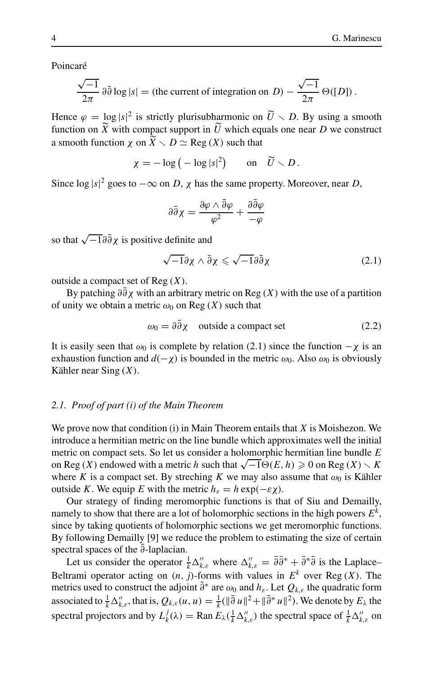Poincaré

$$
\frac{\sqrt{-1}}{2\pi} \partial \bar{\partial} \log |s| = \text{(the current of integration on } D) - \frac{\sqrt{-1}}{2\pi} \Theta([D]).
$$

Hence  $\varphi = \log |s|^2$  is strictly plurisubharmonic on  $\widetilde{U} \setminus D$ . By using a smooth function on  $\widetilde{Y}$  with compact support in  $\widetilde{U}$  which equals one near  $D$  we construct function on *X* with compact support in *U* which equals one near *D* we construct a smooth function  $\chi$  on  $\widetilde{X} \setminus D \simeq \text{Reg}(X)$  such that

$$
\chi = -\log\left(-\log|s|^2\right) \qquad \text{on} \quad \widetilde{U} \setminus D\,.
$$

Since  $\log |s|^2$  goes to  $-\infty$  on *D*,  $\chi$  has the same property. Moreover, near *D*,

$$
\partial\bar{\partial}\chi=\frac{\partial\varphi\wedge\bar{\partial}\varphi}{\varphi^2}+\frac{\partial\bar{\partial}\varphi}{-\varphi}
$$

so that  $\sqrt{-1}\partial\bar{\partial}\chi$  is positive definite and

$$
\sqrt{-1}\partial\chi\wedge\bar{\partial}\chi\leqslant\sqrt{-1}\partial\bar{\partial}\chi\tag{2.1}
$$

outside a compact set of Reg (*X*).

By patching  $\partial \bar{\partial} \chi$  with an arbitrary metric on Reg (*X*) with the use of a partition of unity we obtain a metric  $\omega_0$  on Reg  $(X)$  such that

$$
\omega_0 = \partial \bar{\partial} \chi \quad \text{outside a compact set} \tag{2.2}
$$

It is easily seen that  $\omega_0$  is complete by relation (2.1) since the function  $-\chi$  is an exhaustion function and  $d(-\chi)$  is bounded in the metric  $\omega_0$ . Also  $\omega_0$  is obviously Kähler near Sing (*X*).

## *2.1. Proof of part (i) of the Main Theorem*

We prove now that condition (i) in Main Theorem entails that *X* is Moishezon. We introduce a hermitian metric on the line bundle which approximates well the initial metric on compact sets. So let us consider a holomorphic hermitian line bundle *E* on Reg (*X*) endowed with a metric *h* such that  $\sqrt{-1}\Theta(E, h) \ge 0$  on Reg (*X*)  $\setminus K$ where *K* is a compact set. By streching *K* we may also assume that  $\omega_0$  is Kähler outside *K*. We equip *E* with the metric  $h_{ε} = h \exp(-εχ)$ .

Our strategy of finding meromorphic functions is that of Siu and Demailly, namely to show that there are a lot of holomorphic sections in the high powers  $E^k$ , since by taking quotients of holomorphic sections we get meromorphic functions. By following Demailly [9] we reduce the problem to estimating the size of certain spectral spaces of the ∂-laplacian.

Let us consider the operator  $\frac{1}{k} \Delta''_{k,\varepsilon}$  where  $\Delta''_{k,\varepsilon} = \overline{\partial} \overline{\partial}^* + \overline{\partial}^* \overline{\partial}$  is the Laplace– Beltrami operator acting on  $(n, j)$ -forms with values in  $E^k$  over Reg  $(X)$ . The metrics used to construct the adjoint  $\bar{\partial}$ <sup>∗</sup> are  $\omega_0$  and  $h_{\varepsilon}$ . Let  $Q_{k,\varepsilon}$  the quadratic form associated to  $\frac{1}{k} \Delta_{k,\varepsilon}^{\prime\prime}$ , that is,  $Q_{k,\varepsilon}(u, u) = \frac{1}{k} (\|\bar{\partial} u\|^2 + \|\bar{\partial}^* u\|^2)$ . We denote by  $E_{\lambda}$  the spectral projectors and by  $L_k^j(\lambda) = \text{Ran } E_\lambda(\frac{1}{k} \Delta_{k,\varepsilon}^n)$  the spectral space of  $\frac{1}{k} \Delta_{k,\varepsilon}^n$  on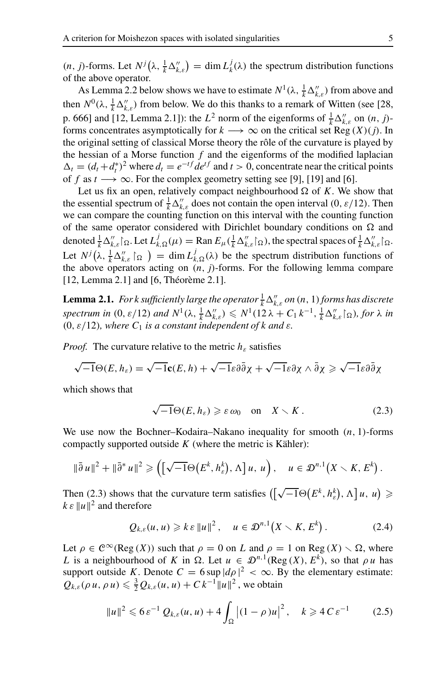$(n, j)$ -forms. Let  $N^j(\lambda, \frac{1}{k}\Delta''_{k,\varepsilon}) = \dim L^j_k(\lambda)$  the spectrum distribution functions of the above operator.

As Lemma 2.2 below shows we have to estimate  $N^1(\lambda, \frac{1}{k} \Delta_{k,\varepsilon}^{\prime\prime})$  from above and then  $N^0(\lambda, \frac{1}{k}\Delta''_{k,\varepsilon})$  from below. We do this thanks to a remark of Witten (see [28, p. 666] and [12, Lemma 2.1]): the  $L^2$  norm of the eigenforms of  $\frac{1}{k} \Delta_{k,\varepsilon}^{\prime\prime}$  on  $(n, j)$ forms concentrates asymptotically for  $k \longrightarrow \infty$  on the critical set Reg  $(X)(j)$ . In the original setting of classical Morse theory the rôle of the curvature is played by the hessian of a Morse function  $f$  and the eigenforms of the modified laplacian  $\Delta_t = (d_t + d_t^*)^2$  where  $d_t = e^{-tf} de^{tf}$  and  $t > 0$ , concentrate near the critical points of *f* as  $t \rightarrow \infty$ . For the complex geometry setting see [9], [19] and [6].

Let us fix an open, relatively compact neighbourhood  $\Omega$  of *K*. We show that the essential spectrum of  $\frac{1}{k} \Delta''_{k,\varepsilon}$  does not contain the open interval (0,  $\varepsilon/12$ ). Then we can compare the counting function on this interval with the counting function of the same operator considered with Dirichlet boundary conditions on  $\Omega$  and denoted  $\frac{1}{k} \Delta''_{k,\varepsilon} \mathcal{L}_{\Omega}$ . Let  $L^j_{k,\Omega}(\mu) = \text{Ran } E_{\mu}(\frac{1}{k} \Delta''_{k,\varepsilon} \mathcal{L}_{\Omega})$ , the spectral spaces of  $\frac{1}{k} \Delta''_{k,\varepsilon} \mathcal{L}_{\Omega}$ . Let  $N^j(\lambda, \frac{1}{k}\Delta''_{k,\varepsilon} \restriction_{\Omega} ) = \dim L^j_{k,\Omega}(\lambda)$  be the spectrum distribution functions of the above operators acting on  $(n, j)$ -forms. For the following lemma compare [12, Lemma 2.1] and [6, Théorème 2.1].

**Lemma 2.1.** *For k sufficiently large the operator*  $\frac{1}{k} \Delta_{k, \varepsilon}^{\prime\prime}$  *on* (*n*, 1) *forms has discrete*  $spectrum in (0, \varepsilon/12)$  and  $N^1(\lambda, \frac{1}{k}\Delta''_{k,\varepsilon}) \leqslant N^1(12\lambda + C_1 k^{-1}, \frac{1}{k}\Delta''_{k,\varepsilon} \leqslant \varepsilon)$ , for  $\lambda$  in  $(0, \varepsilon/12)$ *, where*  $C_1$  *is a constant independent of k and*  $\varepsilon$ *.* 

*Proof.* The curvature relative to the metric  $h_{\varepsilon}$  satisfies

$$
\sqrt{-1}\Theta(E,h_{\varepsilon})=\sqrt{-1}\mathbf{c}(E,h)+\sqrt{-1}\varepsilon\partial\bar{\partial}\chi+\sqrt{-1}\varepsilon\partial\chi\wedge\bar{\partial}\chi\geqslant\sqrt{-1}\varepsilon\partial\bar{\partial}\chi
$$

which shows that

$$
\sqrt{-1}\Theta(E, h_{\varepsilon}) \geqslant \varepsilon \omega_0 \quad \text{on} \quad X \setminus K. \tag{2.3}
$$

We use now the Bochner–Kodaira–Nakano inequality for smooth (*n*, 1)-forms compactly supported outside *K* (where the metric is Kähler):

$$
\|\bar{\partial} u\|^2 + \|\bar{\partial}^* u\|^2 \geqslant \left( \left[ \sqrt{-1} \Theta\big(E^k, h_\varepsilon^k\big), \Lambda \right] u, u \right), \quad u \in \mathcal{D}^{n,1}\big(X \setminus K, E^k\big).
$$

Then (2.3) shows that the curvature term satisfies  $([\sqrt{-1}\Theta(E^k, h_{\varepsilon}^k), \Lambda]u, u) \geq$  $k \varepsilon ||u||^2$  and therefore

$$
Q_{k,\varepsilon}(u,u)\geqslant k\varepsilon\|u\|^2\,,\quad u\in\mathcal{D}^{n,1}\big(X\smallsetminus K,E^k\big)\,.
$$

Let  $\rho \in C^{\infty}(\text{Reg}(X))$  such that  $\rho = 0$  on *L* and  $\rho = 1$  on Reg  $(X) \setminus \Omega$ , where *L* is a neighbourhood of *K* in  $\Omega$ . Let  $u \in \mathcal{D}^{n,1}(\text{Reg}(X), E^k)$ , so that  $\rho u$  has support outside *K*. Denote  $C = 6 \sup |d\rho|^2 < \infty$ . By the elementary estimate:  $Q_{k,\varepsilon}(\rho u, \rho u) \leq \frac{3}{2} Q_{k,\varepsilon}(u, u) + C k^{-1} ||u||^2$ , we obtain

$$
||u||^2 \leq 6\varepsilon^{-1} Q_{k,\varepsilon}(u,u) + 4 \int_{\Omega} |(1-\rho)u|^2, \quad k \geq 4C\varepsilon^{-1}
$$
 (2.5)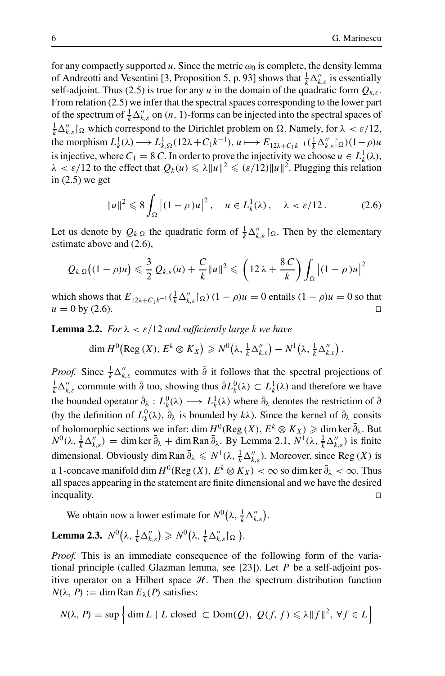for any compactly supported  $u$ . Since the metric  $\omega_0$  is complete, the density lemma of Andreotti and Vesentini [3, Proposition 5, p. 93] shows that  $\frac{1}{k} \Delta''_{k,\varepsilon}$  is essentially self-adjoint. Thus (2.5) is true for any *u* in the domain of the quadratic form  $Q_{k,\varepsilon}$ . From relation (2.5) we infer that the spectral spaces corresponding to the lower part of the spectrum of  $\frac{1}{k} \Delta_{k,\varepsilon}^{\prime\prime}$  on  $(n, 1)$ -forms can be injected into the spectral spaces of  $\frac{1}{k}\Delta''_{k,\varepsilon}\vert_{\Omega}$  which correspond to the Dirichlet problem on  $\Omega$ . Namely, for  $\lambda < \varepsilon/12$ , the morphism  $L_k^1(\lambda) \longrightarrow L_{k,\Omega}^1(12\lambda + C_1k^{-1}), u \longmapsto E_{12\lambda + C_1k^{-1}}(\frac{1}{k}\Delta_{k,\varepsilon}'' \mid_{\Omega})(1-\rho)u$ is injective, where  $C_1 = 8 C$ . In order to prove the injectivity we choose  $u \in L_k^1(\lambda)$ ,  $\lambda < \varepsilon/12$  to the effect that  $Q_k(u) \le \lambda ||u||^2 \le (\varepsilon/12)||u||^2$ . Plugging this relation in  $(2.5)$  we get

$$
||u||^2 \leq 8 \int_{\Omega} \left| (1 - \rho)u \right|^2, \quad u \in L^1_k(\lambda), \quad \lambda < \varepsilon/12. \tag{2.6}
$$

Let us denote by  $Q_{k,\Omega}$  the quadratic form of  $\frac{1}{k}\Delta''_{k,\varepsilon}$  [ $\Omega$ . Then by the elementary estimate above and (2.6),

$$
Q_{k,\Omega}\big((1-\rho)u\big) \leqslant \frac{3}{2}Q_{k,\varepsilon}(u) + \frac{C}{k}\|u\|^2 \leqslant \left(12\lambda + \frac{8\,C}{k}\right)\int_{\Omega}\big|(1-\rho)u\big|^2
$$

which shows that  $E_{12\lambda+C_1k^{-1}}(\frac{1}{k}\Delta''_{k,\varepsilon}|_{\Omega})(1-\rho)u=0$  entails  $(1-\rho)u=0$  so that  $u = 0$  by (2.6).

**Lemma 2.2.** *For*  $\lambda < \varepsilon/12$  *and sufficiently large k we have* 

$$
\dim H^0\big(\mathrm{Reg}\,(X),\, E^k\otimes K_X\big)\geqslant N^0\big(\lambda,\tfrac{1}{k}\Delta''_{k,\varepsilon}\big)-N^1\big(\lambda,\tfrac{1}{k}\Delta''_{k,\varepsilon}\big)\,.
$$

*Proof.* Since  $\frac{1}{k} \Delta''_{k,\varepsilon}$  commutes with  $\overline{\partial}$  it follows that the spectral projections of  $\frac{1}{k}\Delta''_{k,\varepsilon}$  commute with  $\bar{\partial}$  too, showing thus  $\bar{\partial}L_k^0(\lambda) \subset L_k^1(\lambda)$  and therefore we have the bounded operator  $\bar{\partial}_\lambda : L^0_k(\lambda) \longrightarrow L^1_k(\lambda)$  where  $\bar{\partial}_\lambda$  denotes the restriction of  $\bar{\partial}$ (by the definition of  $L_k^0(\lambda)$ ,  $\bar{\partial}_{\lambda}$  is bounded by  $k\lambda$ ). Since the kernel of  $\bar{\partial}_{\lambda}$  consits of holomorphic sections we infer: dim  $H^0(\text{Reg } (X), E^k \otimes K_X) \geqslant \text{dim ker } \overline{\partial}_{\lambda}$ . But *N*<sup>0</sup>(λ,  $\frac{1}{k}$  Δ'<sub>*k*,ε</sub>) = dim ker  $\bar{\partial}_{\lambda}$  + dim Ran  $\bar{\partial}_{\lambda}$ . By Lemma 2.1, *N*<sup>1</sup>(λ,  $\frac{1}{k}$  Δ'<sub>*k*,ε</sub>) is finite dimensional. Obviously dim Ran  $\bar{\partial}_\lambda \leq N^1(\lambda, \frac{1}{k} \Delta''_{k,\varepsilon})$ . Moreover, since Reg (*X*) is a 1-concave manifold dim  $H^0(\text{Reg }(X), E^k \otimes K_X) < \infty$  so dim ker  $\overline{\partial}_\lambda < \infty$ . Thus all spaces appearing in the statement are finite dimensional and we have the desired inequality.

We obtain now a lower estimate for  $N^0(\lambda, \frac{1}{k}\Delta''_{k,\varepsilon})$ .

## **Lemma 2.3.**  $N^0(\lambda, \frac{1}{k}\Delta''_{k,\varepsilon}) \geqslant N^0(\lambda, \frac{1}{k}\Delta''_{k,\varepsilon} |_{\Omega})$ .

*Proof.* This is an immediate consequence of the following form of the variational principle (called Glazman lemma, see [23]). Let *P* be a self-adjoint positive operator on a Hilbert space  $H$ . Then the spectrum distribution function  $N(\lambda, P) := \dim \text{Ran} E_{\lambda}(P)$  satisfies:

$$
N(\lambda, P) = \sup \Big\{ \dim L \mid L \text{ closed } \subset \text{Dom}(Q), \ Q(f, f) \leq \lambda \|f\|^2, \ \forall f \in L \Big\}
$$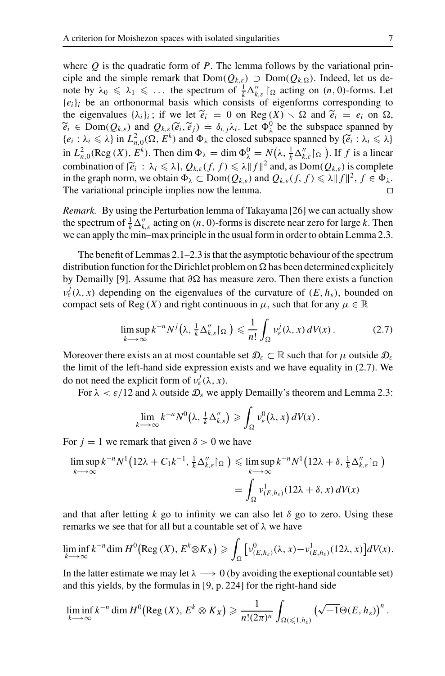where *Q* is the quadratic form of *P*. The lemma follows by the variational principle and the simple remark that  $Dom(Q_{k,\varepsilon})$   $\supset Dom(Q_{k,\Omega})$ . Indeed, let us denote by  $\lambda_0 \le \lambda_1 \le \dots$  the spectrum of  $\frac{1}{k} \Delta_{k,\varepsilon}^{\prime\prime} \restriction_{\Omega}$  acting on  $(n,0)$ -forms. Let  ${e_i}_i$  be an orthonormal basis which consists of eigenforms corresponding to the eigenvalues  $\{\lambda_i\}_i$ ; if we let  $\tilde{e}_i = 0$  on Reg  $(X) \setminus \Omega$  and  $\tilde{e}_i = e_i$  on  $\Omega$ ,  $\widetilde{e}_i \in \text{Dom}(Q_{k,\varepsilon})$  and  $Q_{k,\varepsilon}(\widetilde{e}_i, \widetilde{e}_j) = \delta_{i,j} \lambda_i$ . Let  $\Phi_\lambda^0$  be the subspace spanned by  $\{e_i : \lambda_i \leq \lambda\}$  in  $L^2(\Omega, E^k)$  and  $\Phi_\lambda$  the closed subspace spanned by  $\{\widetilde{e}_i : \lambda_i \leq \lambda\}$  $\{e_i : \lambda_i \leq \lambda\}$  in  $L^2_{n,0}(\Omega, E^k)$  and  $\Phi_{\lambda}$  the closed subspace spanned by  $\{\widetilde{e}_i : \lambda_i \leq \lambda\}$ <br>in  $L^2(\text{Box}(X), E^k)$ . Then dim  $\Phi_n = \dim \Phi_0^0 = M(1, 1, \lambda^n, k)$ . If f is a linear in  $L^2_{n,0}(\text{Reg } (X), E^k)$ . Then dim  $\Phi_\lambda = \dim \Phi_\lambda^0 = N(\lambda, \frac{1}{k} \Delta_{k,\varepsilon}'' \restriction_{\Omega} ).$  If *f* is a linear combination of  $\{\tilde{e}_i : \lambda_i \leq \lambda\}$ ,  $Q_{k,\varepsilon}(f, f) \leq \lambda ||f||^2$  and, as  $Dom(Q_{k,\varepsilon})$  is complete in the graph norm, we obtain  $\Phi_{\lambda} \subset \text{Dom}(Q_{k,\varepsilon})$  and  $Q_{k,\varepsilon}(f, f) \leq \lambda ||f||^2, f \in \Phi_{\lambda}$ . The variational principle implies now the lemma.

*Remark.* By using the Perturbation lemma of Takayama [26] we can actually show the spectrum of  $\frac{1}{k} \Delta_{k,\varepsilon}^{\prime\prime}$  acting on  $(n, 0)$ -forms is discrete near zero for large *k*. Then we can apply the min–max principle in the usual form in order to obtain Lemma 2.3.

The benefit of Lemmas 2.1–2.3 is that the asymptotic behaviour of the spectrum distribution function for the Dirichlet problem on  $\Omega$  has been determined explicitely by Demailly [9]. Assume that ∂Ω has measure zero. Then there exists a function  $v_{\varepsilon}^{j}(\lambda, x)$  depending on the eigenvalues of the curvature of  $(E, h_{\varepsilon})$ , bounded on compact sets of Reg  $(X)$  and right continuous in  $\mu$ , such that for any  $\mu \in \mathbb{R}$ 

$$
\limsup_{k \to \infty} k^{-n} N^j\big(\lambda, \tfrac{1}{k} \Delta''_{k,\varepsilon} \vert_{\Omega}\big) \leq \frac{1}{n!} \int_{\Omega} \nu_{\varepsilon}^j(\lambda, x) \, dV(x) \,. \tag{2.7}
$$

Moreover there exists an at most countable set  $\mathcal{D}_{\varepsilon} \subset \mathbb{R}$  such that for  $\mu$  outside  $\mathcal{D}_{\varepsilon}$ the limit of the left-hand side expression exists and we have equality in (2.7). We do not need the explicit form of  $v_{\varepsilon}^{j}(\lambda, x)$ .

For  $\lambda < \varepsilon/12$  and  $\lambda$  outside  $\mathcal{D}_{\varepsilon}$  we apply Demailly's theorem and Lemma 2.3:

$$
\lim_{k\longrightarrow\infty}k^{-n}N^{0}(\lambda,\frac{1}{k}\Delta''_{k,\varepsilon})\geqslant \int_{\Omega}v_{\varepsilon}^{0}(\lambda,x)\,dV(x)\,.
$$

For  $j = 1$  we remark that given  $\delta > 0$  we have

$$
\limsup_{k \to \infty} k^{-n} N^{1} (12\lambda + C_{1} k^{-1}, \frac{1}{k} \Delta''_{k,\varepsilon} \vert_{\Omega}) \leq \limsup_{k \to \infty} k^{-n} N^{1} (12\lambda + \delta, \frac{1}{k} \Delta''_{k,\varepsilon} \vert_{\Omega})
$$

$$
= \int_{\Omega} v_{(E,h_{\varepsilon})}^{1} (12\lambda + \delta, x) dV(x)
$$

and that after letting  $k$  go to infinity we can also let  $\delta$  go to zero. Using these remarks we see that for all but a countable set of  $\lambda$  we have

$$
\liminf_{k\to\infty} k^{-n} \dim H^0\big(\text{Reg }(X), E^k \otimes K_X\big) \geqslant \int_{\Omega} \big[ v^0_{(E,h_{\varepsilon})}(\lambda, x) - v^1_{(E,h_{\varepsilon})}(12\lambda, x) \big] dV(x).
$$

In the latter estimate we may let  $\lambda \longrightarrow 0$  (by avoiding the exeptional countable set) and this yields, by the formulas in [9, p. 224] for the right-hand side

$$
\liminf_{k\to\infty} k^{-n} \dim H^0\big(\text{Reg }(X), E^k\otimes K_X\big)\geqslant \frac{1}{n!(2\pi)^n}\int_{\Omega(\leqslant 1,h_\varepsilon)} \left(\sqrt{-1}\Theta(E,h_\varepsilon)\right)^n.
$$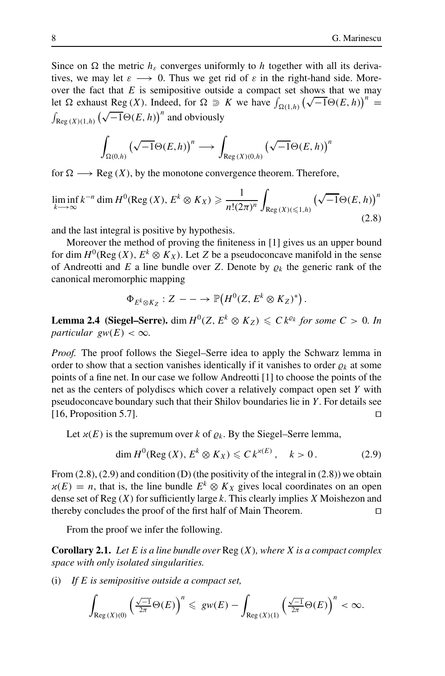Since on  $\Omega$  the metric  $h_{\varepsilon}$  converges uniformly to *h* together with all its derivatives, we may let  $\varepsilon \longrightarrow 0$ . Thus we get rid of  $\varepsilon$  in the right-hand side. Moreover the fact that *E* is semipositive outside a compact set shows that we may let Ω exhaust Reg (*X*). Indeed, for Ω  $\supseteq K$  we have  $\int_{\Omega(1,h)} (\sqrt{-1}Θ(E, h))^n =$  $\int_{\text{Reg}(X)(1,h)} (\sqrt{-1}\Theta(E,h))^n$  and obviously

$$
\int_{\Omega(0,h)} \left(\sqrt{-1}\Theta(E,h)\right)^n \longrightarrow \int_{\text{Reg}(X)(0,h)} \left(\sqrt{-1}\Theta(E,h)\right)^n
$$

for  $\Omega \longrightarrow \text{Reg}(X)$ , by the monotone convergence theorem. Therefore,

$$
\liminf_{k \to \infty} k^{-n} \dim H^0(\text{Reg}(X), E^k \otimes K_X) \ge \frac{1}{n!(2\pi)^n} \int_{\text{Reg}(X)(\le 1,h)} \left(\sqrt{-1}\Theta(E, h)\right)^n
$$
\n(2.8)

and the last integral is positive by hypothesis.

Moreover the method of proving the finiteness in [1] gives us an upper bound for dim  $H^0(\text{Reg } (X), E^k \otimes K_X)$ . Let *Z* be a pseudoconcave manifold in the sense of Andreotti and  $E$  a line bundle over  $Z$ . Denote by  $\varrho_k$  the generic rank of the canonical meromorphic mapping

$$
\Phi_{E^k\otimes K_Z}:Z-\longrightarrow {\mathbb P}\big(H^0(Z,E^k\otimes K_Z)^*\big)\,.
$$

**Lemma 2.4 (Siegel–Serre).** dim  $H^0(Z, E^k \otimes K_Z) \leq C k^{\varrho_k}$  for some  $C > 0$ . In *particular gw*( $E$ ) <  $\infty$ *.* 

*Proof.* The proof follows the Siegel–Serre idea to apply the Schwarz lemma in order to show that a section vanishes identically if it vanishes to order  $\rho_k$  at some points of a fine net. In our case we follow Andreotti [1] to choose the points of the net as the centers of polydiscs which cover a relatively compact open set *Y* with pseudoconcave boundary such that their Shilov boundaries lie in *Y*. For details see [16, Proposition 5.7].

Let  $x(E)$  is the supremum over *k* of  $\rho_k$ . By the Siegel–Serre lemma,

$$
\dim H^0(\text{Reg}(X), E^k \otimes K_X) \leqslant C k^{x(E)}, \quad k > 0. \tag{2.9}
$$

From  $(2.8)$ ,  $(2.9)$  and condition  $(D)$  (the positivity of the integral in  $(2.8)$ ) we obtain  $x(E) = n$ , that is, the line bundle  $E^k \otimes K_X$  gives local coordinates on an open dense set of Reg (*X*) for sufficiently large *k*. This clearly implies *X* Moishezon and thereby concludes the proof of the first half of Main Theorem.

From the proof we infer the following.

**Corollary 2.1.** *Let E is a line bundle over* Reg (*X*)*, where X is a compact complex space with only isolated singularities.*

(i) *If E is semipositive outside a compact set,*

$$
\int_{\text{Reg}\,(X)(0)}\left(\tfrac{\sqrt{-1}}{2\pi}\Theta(E)\right)^n\leqslant \, \, gw(E)-\int_{\text{Reg}\,(X)(1)}\left(\tfrac{\sqrt{-1}}{2\pi}\Theta(E)\right)^n<\infty.
$$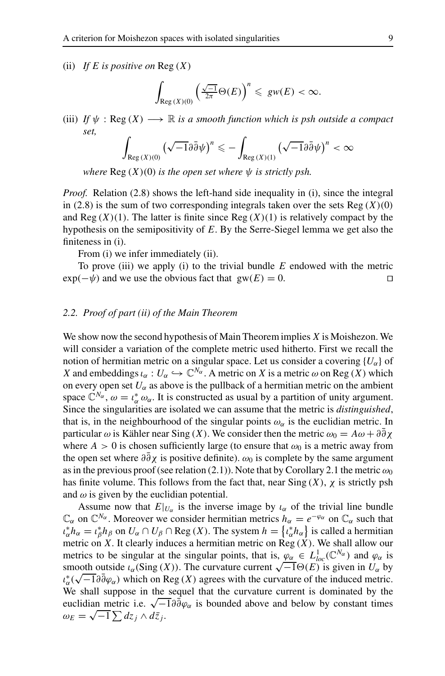(ii) *If E is positive on* Reg (*X*)

$$
\int_{\text{Reg}(X)(0)} \left(\tfrac{\sqrt{-1}}{2\pi}\Theta(E)\right)^n \leq gw(E) < \infty.
$$

(iii) *If*  $\psi$  : Reg  $(X) \longrightarrow \mathbb{R}$  *is a smooth function which is psh outside a compact set,*

$$
\int_{\text{Reg}\,(X)(0)} \left(\sqrt{-1}\partial\bar{\partial}\psi\right)^n \leqslant -\int_{\text{Reg}\,(X)(1)} \left(\sqrt{-1}\partial\bar{\partial}\psi\right)^n < \infty
$$

*where*  $\text{Reg}(X)(0)$  *is the open set where*  $\psi$  *is strictly psh.* 

*Proof.* Relation (2.8) shows the left-hand side inequality in (i), since the integral in  $(2.8)$  is the sum of two corresponding integrals taken over the sets Reg  $(X)(0)$ and  $\text{Reg}(X)(1)$ . The latter is finite since  $\text{Reg}(X)(1)$  is relatively compact by the hypothesis on the semipositivity of *E*. By the Serre-Siegel lemma we get also the finiteness in (i).

From (i) we infer immediately (ii).

To prove (iii) we apply (i) to the trivial bundle *E* endowed with the metric  $\exp(-\psi)$  and we use the obvious fact that  $gw(E) = 0$ .

## *2.2. Proof of part (ii) of the Main Theorem*

We show now the second hypothesis of Main Theorem implies *X* is Moishezon. We will consider a variation of the complete metric used hitherto. First we recall the notion of hermitian metric on a singular space. Let us consider a covering  ${U_\alpha}$  of *X* and embeddings  $\iota_{\alpha}: U_{\alpha} \hookrightarrow \mathbb{C}^{N_{\alpha}}$ . A metric on *X* is a metric  $\omega$  on Reg (*X*) which on every open set  $U_{\alpha}$  as above is the pullback of a hermitian metric on the ambient space  $\mathbb{C}^{N_{\alpha}}, \omega = \iota_{\alpha}^* \omega_{\alpha}$ . It is constructed as usual by a partition of unity argument. Since the singularities are isolated we can assume that the metric is *distinguished*, that is, in the neighbourhood of the singular points  $\omega_{\alpha}$  is the euclidian metric. In particular  $\omega$  is Kähler near Sing (*X*). We consider then the metric  $\omega_0 = A\omega + \partial \bar{\partial} \chi$ where  $A > 0$  is chosen sufficiently large (to ensure that  $\omega_0$  is a metric away from the open set where  $\partial \bar{\partial} \chi$  is positive definite).  $\omega_0$  is complete by the same argument as in the previous proof (see relation (2.1)). Note that by Corollary 2.1 the metric  $\omega_0$ has finite volume. This follows from the fact that, near Sing  $(X)$ ,  $\chi$  is strictly psh and  $\omega$  is given by the euclidian potential.

Assume now that  $E|_{U_{\alpha}}$  is the inverse image by  $\iota_{\alpha}$  of the trivial line bundle  $\mathbb{C}_{\alpha}$  on  $\mathbb{C}^{N_{\alpha}}$ . Moreover we consider hermitian metrics  $h_{\alpha} = e^{-\varphi_{\alpha}}$  on  $\mathbb{C}_{\alpha}$  such that  $u_{\alpha}^* h_{\alpha} = u_{\beta}^* h_{\beta}$  on  $U_{\alpha} \cap U_{\beta} \cap \text{Reg}(X)$ . The system  $h = \{u_{\alpha}^* h_{\alpha}\}\$ is called a hermitian metric on  $X$ . It clearly induces a hermitian metric on  $Reg(X)$ . We shall allow our metrics to be singular at the singular points, that is,  $\varphi_{\alpha} \in L^{1}_{loc}(\mathbb{C}^{N_{\alpha}})$  and  $\varphi_{\alpha}$  is smooth outside  $\iota_{\alpha}(\text{Sing}(X))$ . The curvature current  $\sqrt{-1}\Theta(E)$  is given in  $U_{\alpha}$  by smooth outside  $\iota_{\alpha}(\text{Sing}(X))$ . The curvature current  $\sqrt{-1} \Theta(\mathcal{L})$  is given in  $U_{\alpha}$  by  $\iota_{\alpha}^* (\sqrt{-1} \partial \overline{\partial} \varphi_{\alpha})$  which on Reg  $(X)$  agrees with the curvature of the induced metric. We shall suppose in the sequel that the curvature current is dominated by the euclidian metric i.e.  $\sqrt{-1} \partial \bar{\partial} \varphi_{\alpha}$  is bounded above and below by constant times  $\omega_E = \sqrt{-1} \sum dz_j \wedge d\bar{z}_j.$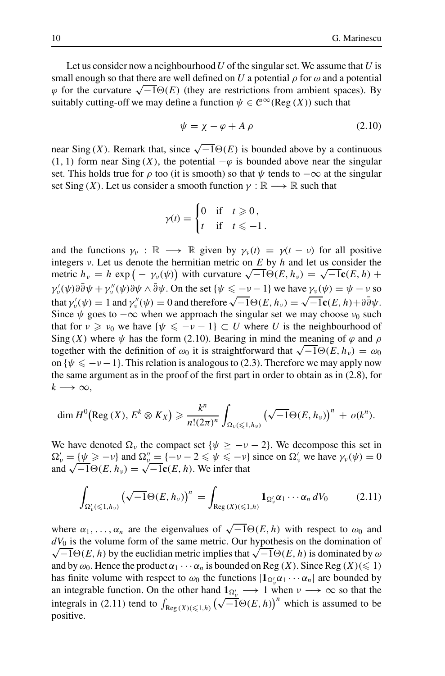Let us consider now a neighbourhood*U* of the singular set. We assume that *U* is small enough so that there are well defined on *U* a potential  $\rho$  for  $\omega$  and a potential  $\varphi$  for the curvature  $\sqrt{-1}\Theta(E)$  (they are restrictions from ambient spaces). By suitably cutting-off we may define a function  $\psi \in C^{\infty}(\text{Reg } (X))$  such that

$$
\psi = \chi - \varphi + A \, \rho \tag{2.10}
$$

near Sing (*X*). Remark that, since  $\sqrt{-1}\Theta(E)$  is bounded above by a continuous (1, 1) form near Sing (*X*), the potential  $-\varphi$  is bounded above near the singular set. This holds true for  $\rho$  too (it is smooth) so that  $\psi$  tends to  $-\infty$  at the singular set Sing (*X*). Let us consider a smooth function  $\gamma : \mathbb{R} \longrightarrow \mathbb{R}$  such that

$$
\gamma(t) = \begin{cases} 0 & \text{if } t \geq 0, \\ t & \text{if } t \leq -1. \end{cases}
$$

and the functions  $\gamma_v : \mathbb{R} \longrightarrow \mathbb{R}$  given by  $\gamma_v(t) = \gamma(t - v)$  for all positive integers ν. Let us denote the hermitian metric on *E* by *h* and let us consider the imagers *v*. Let us denote the hermitian metric on *E* by *h* and let us consider the metric  $h_v = h \exp(-\gamma_v(\psi))$  with curvature  $\sqrt{-1}\Theta(E, h_v) = \sqrt{-1}\mathbf{c}(E, h) +$  $\gamma'_v(\psi)\partial\bar{\partial}\psi + \gamma''_v(\psi)\partial\psi \wedge \bar{\partial}\psi$ . On the set  $\{\psi \le -\nu - 1\}$  we have  $\gamma_v(\psi) = \psi - \nu$  so that  $\gamma_v'(\psi) = 1$  and  $\gamma_v''(\psi) = 0$  and therefore  $\sqrt{-1}\Theta(E, h_v) = \sqrt{-1}\mathbf{c}(E, h) + \partial \overline{\partial}\psi$ . Since  $\psi$  goes to  $-\infty$  when we approach the singular set we may choose  $\nu_0$  such that for  $v \ge v_0$  we have  $\{\psi \le -v - 1\} \subset U$  where *U* is the neighbourhood of Sing (*X*) where  $\psi$  has the form (2.10). Bearing in mind the meaning of  $\varphi$  and  $\rho$ together with the definition of  $\omega_0$  it is straightforward that  $\sqrt{-1}\Theta(E, h_v) = \omega_0$ on  $\{\psi \leq -\nu -1\}$ . This relation is analogous to (2.3). Therefore we may apply now the same argument as in the proof of the first part in order to obtain as in (2.8), for  $k \longrightarrow \infty$ ,

$$
\dim H^0\big(\mathrm{Reg}\,(X),\, E^k\otimes K_X\big)\geqslant \frac{k^n}{n!(2\pi)^n}\int_{\Omega_\nu(\leqslant 1,h_\nu)}\big(\sqrt{-1}\Theta(E,h_\nu)\big)^n\,+\,o(k^n).
$$

We have denoted  $\Omega_{\nu}$  the compact set { $\psi \geq -\nu - 2$ }. We decompose this set in  $\Omega'_{\nu} = {\psi \geq -\nu}$  and  $\Omega''_{\nu} = {-\nu - 2 \leq \psi \leq -\nu}$  since on  $\Omega'_{\nu}$  we have  $\gamma_{\nu}(\psi) = 0$ and  $\sqrt{-1}\Theta(E, h_v) = \sqrt{-1}\mathbf{c}(E, h)$ . We infer that

$$
\int_{\Omega'_v(\leqslant 1,h_v)} \left(\sqrt{-1}\Theta(E,h_v)\right)^n = \int_{\text{Reg}(X)(\leqslant 1,h)} \mathbf{1}_{\Omega'_v} \alpha_1 \cdots \alpha_n \, dV_0 \tag{2.11}
$$

where  $\alpha_1, \ldots, \alpha_n$  are the eigenvalues of  $\sqrt{-1}\Theta(E, h)$  with respect to  $\omega_0$  and  $dV_0$  is the volume form of the same metric. Our hypothesis on the domination of  $\sqrt{-1}\Theta(E, h)$  by the euclidian metric implies that  $\sqrt{-1}\Theta(E, h)$  is dominated by  $\omega$ and by  $\omega_0$ . Hence the product  $\alpha_1 \cdots \alpha_n$  is bounded on Reg (*X*). Since Reg (*X*)(  $\leq 1$ ) has finite volume with respect to  $\omega_0$  the functions  $|\mathbf{1}_{\Omega_v'}\alpha_1 \cdots \alpha_n|$  are bounded by an integrable function. On the other hand  $1_{\Omega_v'} \longrightarrow 1$  when  $v \longrightarrow \infty$  so that the integrals in (2.11) tend to  $\int_{\text{Reg}(X)(\leq1,h)} (\sqrt{-1}\Theta(E,h))^n$  which is assumed to be positive.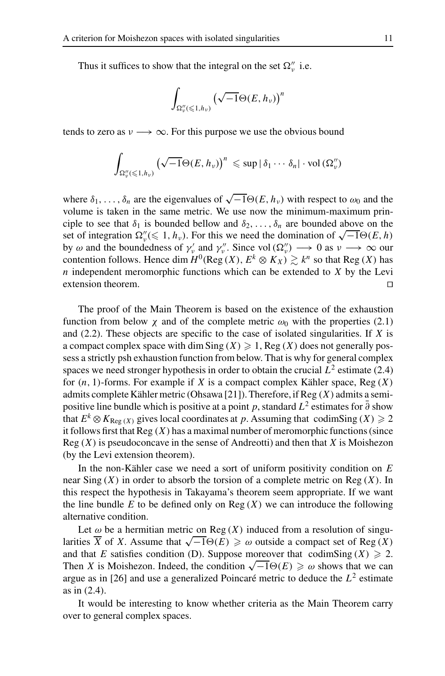Thus it suffices to show that the integral on the set  $\Omega_{\nu}''$  i.e.

$$
\int_{\Omega''_v(\leqslant 1,h_v)}\big(\sqrt{-1}\Theta(E,h_v)\big)^n
$$

tends to zero as  $v \rightarrow \infty$ . For this purpose we use the obvious bound

$$
\int_{\Omega''_v(\leqslant 1,h_v)} \left(\sqrt{-1}\Theta(E,h_v)\right)^n \leqslant \sup |\delta_1\cdots\delta_n|\cdot \text{vol}\left(\Omega''_v\right)
$$

where  $\delta_1, \ldots, \delta_n$  are the eigenvalues of  $\sqrt{-1}\Theta(E, h_\nu)$  with respect to  $\omega_0$  and the volume is taken in the same metric. We use now the minimum-maximum principle to see that  $\delta_1$  is bounded bellow and  $\delta_2, \ldots, \delta_n$  are bounded above on the set of integration  $\Omega''_y(\leq 1, h_y)$ . For this we need the domination of  $\sqrt{-1}\Theta(E, h)$ by  $\omega$  and the boundedness of  $\gamma_v'$  and  $\gamma_v''$ . Since vol  $(\Omega_v'') \longrightarrow 0$  as  $v \longrightarrow \infty$  our contention follows. Hence dim  $H^0(\text{Reg}(X), E^k \otimes K_X) \gtrsim k^n$  so that Reg (*X*) has *n* independent meromorphic functions which can be extended to *X* by the Levi extension theorem.

The proof of the Main Theorem is based on the existence of the exhaustion function from below  $\chi$  and of the complete metric  $\omega_0$  with the properties (2.1) and (2.2). These objects are specific to the case of isolated singularities. If *X* is a compact complex space with dim Sing  $(X) \geq 1$ , Reg  $(X)$  does not generally possess a strictly psh exhaustion function from below. That is why for general complex spaces we need stronger hypothesis in order to obtain the crucial  $L^2$  estimate (2.4) for (*n*, 1)-forms. For example if *X* is a compact complex Kähler space, Reg (*X*) admits complete Kähler metric (Ohsawa [21]). Therefore, if Reg (*X*) admits a semipositive line bundle which is positive at a point *p*, standard  $L^2$  estimates for  $\bar{\partial}$  show that  $E^k \otimes K_{\text{Reg } (X)}$  gives local coordinates at p. Assuming that codimSing  $(X) \geq 2$ it follows first that Reg (*X*) has a maximal number of meromorphic functions (since Reg (*X*) is pseudoconcave in the sense of Andreotti) and then that *X* is Moishezon (by the Levi extension theorem).

In the non-Kähler case we need a sort of uniform positivity condition on *E* near Sing (*X*) in order to absorb the torsion of a complete metric on Reg (*X*). In this respect the hypothesis in Takayama's theorem seem appropriate. If we want the line bundle  $E$  to be defined only on  $Reg(X)$  we can introduce the following alternative condition.

Let  $\omega$  be a hermitian metric on Reg  $(X)$  induced from a resolution of singu-Let  $\omega$  be a nermitian metric on Reg (*X*) induced from a resolution of singularities  $\overline{X}$  of *X*. Assume that  $\sqrt{-1}\Theta(E) \geq \omega$  outside a compact set of Reg (*X*) and that *E* satisfies condition (D). Suppose moreover that codimSing  $(X) \ge 2$ . Then *X* is Moishezon. Indeed, the condition  $\sqrt{-1}\Theta(E) \ge \omega$  shows that we can argue as in [26] and use a generalized Poincaré metric to deduce the  $L^2$  estimate as in (2.4).

It would be interesting to know whether criteria as the Main Theorem carry over to general complex spaces.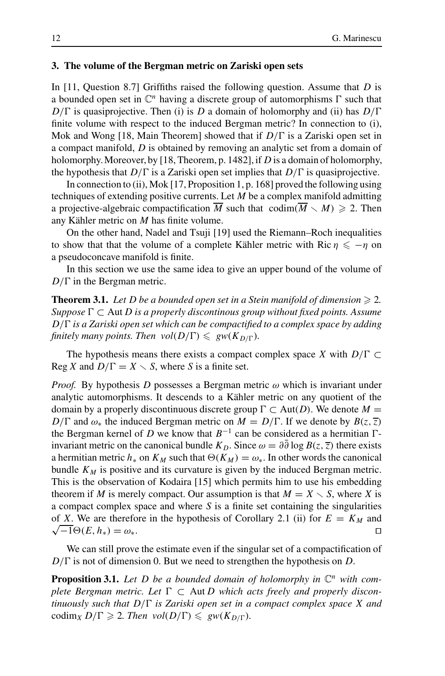## **3. The volume of the Bergman metric on Zariski open sets**

In [11, Question 8.7] Griffiths raised the following question. Assume that *D* is a bounded open set in C*<sup>n</sup>* having a discrete group of automorphisms Γ such that *D*/Γ is quasiprojective. Then (i) is *D* a domain of holomorphy and (ii) has *D*/Γ finite volume with respect to the induced Bergman metric? In connection to (i), Mok and Wong [18, Main Theorem] showed that if *D*/Γ is a Zariski open set in a compact manifold, *D* is obtained by removing an analytic set from a domain of holomorphy.Moreover, by [18, Theorem, p. 1482], if *D* is a domain of holomorphy, the hypothesis that *D*/Γ is a Zariski open set implies that *D*/Γ is quasiprojective.

In connection to (ii), Mok [17, Proposition 1, p. 168] proved the following using techniques of extending positive currents. Let *M* be a complex manifold admitting a projective-algebraic compactification  $\overline{M}$  such that  $\operatorname{codim}(\overline{M} \setminus M) \geq 2$ . Then any Kähler metric on *M* has finite volume.

On the other hand, Nadel and Tsuji [19] used the Riemann–Roch inequalities to show that that the volume of a complete Kähler metric with Ric  $\eta \le -\eta$  on a pseudoconcave manifold is finite.

In this section we use the same idea to give an upper bound of the volume of *D*/Γ in the Bergman metric.

**Theorem 3.1.** Let D be a bounded open set in a Stein manifold of dimension  $\geq 2$ . *Suppose* Γ ⊂ Aut *D is a properly discontinous group without fixed points. Assume D*/Γ *is a Zariski open set which can be compactified to a complex space by adding finitely many points. Then*  $vol(D/\Gamma) \leq gw(K_{D/\Gamma})$ *.* 

The hypothesis means there exists a compact complex space *X* with *D*/Γ ⊂ Reg *X* and  $D/\Gamma = X \setminus S$ , where *S* is a finite set.

*Proof.* By hypothesis *D* possesses a Bergman metric  $\omega$  which is invariant under analytic automorphisms. It descends to a Kähler metric on any quotient of the domain by a properly discontinuous discrete group  $\Gamma \subset Aut(D)$ . We denote  $M =$ *D*/Γ and  $ω_*$  the induced Bergman metric on  $M = D/\Gamma$ . If we denote by  $B(z, \overline{z})$ the Bergman kernel of *D* we know that  $B^{-1}$  can be considered as a hermitian  $\Gamma$ invariant metric on the canonical bundle  $K_D$ . Since  $\omega = \partial \partial \log B(z, \overline{z})$  there exists a hermitian metric  $h_*$  on  $K_M$  such that  $\Theta(K_M) = \omega_*$ . In other words the canonical bundle  $K_M$  is positive and its curvature is given by the induced Bergman metric. This is the observation of Kodaira [15] which permits him to use his embedding theorem if *M* is merely compact. Our assumption is that  $M = X \setminus S$ , where *X* is a compact complex space and where *S* is a finite set containing the singularities of *X*. We are therefore in the hypothesis of Corollary 2.1 (ii) for  $E = K_M$  and  $\sqrt{-1}\Theta(E, h_*) = \omega_*$ .

We can still prove the estimate even if the singular set of a compactification of *D*/Γ is not of dimension 0. But we need to strengthen the hypothesis on *D*.

**Proposition 3.1.** Let D be a bounded domain of holomorphy in  $\mathbb{C}^n$  with com*plete Bergman metric. Let* Γ ⊂ Aut *D which acts freely and properly discontinuously such that D*/Γ *is Zariski open set in a compact complex space X and* codim<sub>*X*</sub>  $D/\Gamma \ge 2$ *. Then vol*( $D/\Gamma$ )  $\le$   $gw(K_{D/\Gamma})$ *.*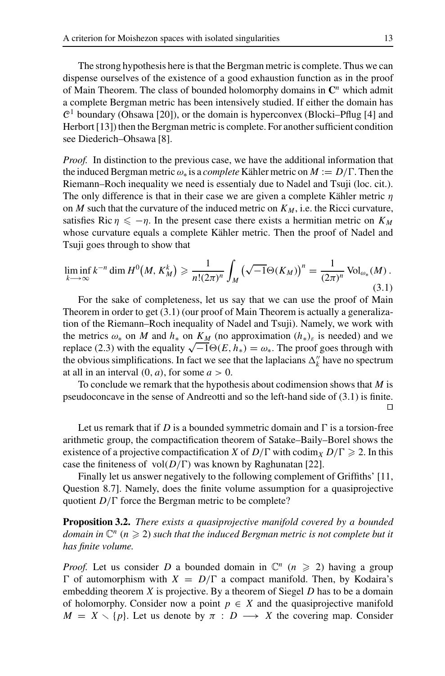The strong hypothesis here is that the Bergman metric is complete. Thus we can dispense ourselves of the existence of a good exhaustion function as in the proof of Main Theorem. The class of bounded holomorphy domains in **C***<sup>n</sup>* which admit a complete Bergman metric has been intensively studied. If either the domain has  $\mathcal{C}^1$  boundary (Ohsawa [20]), or the domain is hyperconvex (Blocki–Pflug [4] and Herbort [13]) then the Bergman metric is complete. For another sufficient condition see Diederich–Ohsawa [8].

*Proof.* In distinction to the previous case, we have the additional information that the induced Bergman metricω<sup>∗</sup> is a *complete* Kähler metric on *M* := *D*/Γ. Then the Riemann–Roch inequality we need is essentialy due to Nadel and Tsuji (loc. cit.). The only difference is that in their case we are given a complete Kähler metric  $\eta$ on *M* such that the curvature of the induced metric on  $K_M$ , i.e. the Ricci curvature, satisfies Ric  $\eta \leq -\eta$ . In the present case there exists a hermitian metric on  $K_M$ whose curvature equals a complete Kähler metric. Then the proof of Nadel and Tsuji goes through to show that

$$
\liminf_{k \to \infty} k^{-n} \dim H^0(M, K_M^k) \geq \frac{1}{n!(2\pi)^n} \int_M \left(\sqrt{-1} \Theta(K_M)\right)^n = \frac{1}{(2\pi)^n} \operatorname{Vol}_{\omega_*}(M) \tag{3.1}
$$

For the sake of completeness, let us say that we can use the proof of Main Theorem in order to get (3.1) (our proof of Main Theorem is actually a generalization of the Riemann–Roch inequality of Nadel and Tsuji). Namely, we work with the metrics  $\omega_*$  on *M* and  $h_*$  on  $K_M$  (no approximation  $(h_*)_\varepsilon$  is needed) and we replace (2.3) with the equality  $\sqrt{-1}\Theta(E, h_*) = \omega_*$ . The proof goes through with the obvious simplifications. In fact we see that the laplacians  $\Delta_k^{\prime\prime}$  have no spectrum at all in an interval  $(0, a)$ , for some  $a > 0$ .

To conclude we remark that the hypothesis about codimension shows that *M* is pseudoconcave in the sense of Andreotti and so the left-hand side of (3.1) is finite.  $\Box$ 

Let us remark that if *D* is a bounded symmetric domain and  $\Gamma$  is a torsion-free arithmetic group, the compactification theorem of Satake–Baily–Borel shows the existence of a projective compactification *X* of  $D/\Gamma$  with codim<sub>*X*</sub>  $D/\Gamma \ge 2$ . In this case the finiteness of vol $(D/\Gamma)$  was known by Raghunatan [22].

Finally let us answer negatively to the following complement of Griffiths' [11, Question 8.7]. Namely, does the finite volume assumption for a quasiprojective quotient *D*/Γ force the Bergman metric to be complete?

**Proposition 3.2.** *There exists a quasiprojective manifold covered by a bounded* domain in  $\mathbb{C}^n$  ( $n \geqslant 2$ ) such that the induced Bergman metric is not complete but it *has finite volume.*

*Proof.* Let us consider *D* a bounded domain in  $\mathbb{C}^n$  ( $n \ge 2$ ) having a group Γ of automorphism with  $X = D/\Gamma$  a compact manifold. Then, by Kodaira's embedding theorem *X* is projective. By a theorem of Siegel *D* has to be a domain of holomorphy. Consider now a point  $p \in X$  and the quasiprojective manifold  $M = X \setminus \{p\}$ . Let us denote by  $\pi : D \longrightarrow X$  the covering map. Consider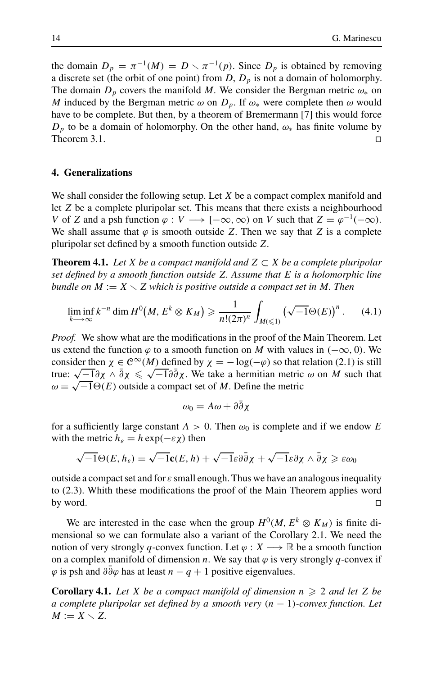the domain  $D_p = \pi^{-1}(M) = D \setminus \pi^{-1}(p)$ . Since  $D_p$  is obtained by removing a discrete set (the orbit of one point) from  $D$ ,  $D_p$  is not a domain of holomorphy. The domain  $D_p$  covers the manifold *M*. We consider the Bergman metric  $\omega_*$  on *M* induced by the Bergman metric  $\omega$  on  $D_p$ . If  $\omega_*$  were complete then  $\omega$  would have to be complete. But then, by a theorem of Bremermann [7] this would force  $D_p$  to be a domain of holomorphy. On the other hand,  $\omega_*$  has finite volume by Theorem 3.1.  $\Box$ 

## **4. Generalizations**

We shall consider the following setup. Let *X* be a compact complex manifold and let *Z* be a complete pluripolar set. This means that there exists a neighbourhood *V* of *Z* and a psh function  $\varphi : V \longrightarrow [-\infty, \infty)$  on *V* such that  $Z = \varphi^{-1}(-\infty)$ . We shall assume that  $\varphi$  is smooth outside *Z*. Then we say that *Z* is a complete pluripolar set defined by a smooth function outside *Z*.

**Theorem 4.1.** *Let X be a compact manifold and Z*  $\subset$  *X be a complete pluripolar set defined by a smooth function outside Z. Assume that E is a holomorphic line bundle on*  $M := X \setminus Z$  which is positive outside a compact set in M. Then

$$
\liminf_{k \to \infty} k^{-n} \dim H^0\big(M, E^k \otimes K_M\big) \geq \frac{1}{n!(2\pi)^n} \int_{M(\leq 1)} \left(\sqrt{-1} \Theta(E)\right)^n. \tag{4.1}
$$

*Proof.* We show what are the modifications in the proof of the Main Theorem. Let us extend the function  $\varphi$  to a smooth function on *M* with values in ( $-\infty$ , 0). We consider then  $\chi \in C^{\infty}(M)$  defined by  $\chi = -\log(-\varphi)$  so that relation (2.1) is still true:  $\sqrt{-1}\partial \chi \wedge \overline{\partial} \chi \leq \sqrt{-1}\partial \overline{\partial} \chi$ . We take a hermitian metric ω on *M* such that  $\omega = \sqrt{-1} \Theta(E)$  outside a compact set of *M*. Define the metric

$$
\omega_0 = A\omega + \partial\bar{\partial}\chi
$$

for a sufficiently large constant  $A > 0$ . Then  $\omega_0$  is complete and if we endow *E* with the metric  $h_{\varepsilon} = h \exp(-\varepsilon \chi)$  then

$$
\sqrt{-1}\Theta(E,h_{\varepsilon})=\sqrt{-1}\mathbf{c}(E,h)+\sqrt{-1}\varepsilon\partial\bar{\partial}\chi+\sqrt{-1}\varepsilon\partial\chi\wedge\bar{\partial}\chi\geqslant\varepsilon\omega_0
$$

outside a compact set and for  $\varepsilon$  small enough. Thus we have an analogous inequality to (2.3). Whith these modifications the proof of the Main Theorem applies word by word.  $\Box$ 

We are interested in the case when the group  $H^0(M, E^k \otimes K_M)$  is finite dimensional so we can formulate also a variant of the Corollary 2.1. We need the notion of very strongly *q*-convex function. Let  $\varphi : X \longrightarrow \mathbb{R}$  be a smooth function on a complex manifold of dimension *n*. We say that  $\varphi$  is very strongly *q*-convex if  $\varphi$  is psh and  $\partial \partial \varphi$  has at least *n* − *q* + 1 positive eigenvalues.

**Corollary 4.1.** Let *X* be a compact manifold of dimension  $n \geq 2$  and let *Z* be *a complete pluripolar set defined by a smooth very* (*n* − 1)*-convex function. Let*  $M := X \setminus Z$ .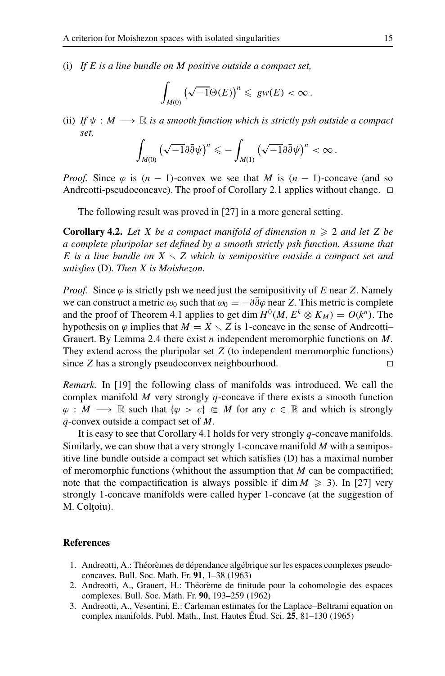(i) *If E is a line bundle on M positive outside a compact set,*

$$
\int_{M(0)} \left(\sqrt{-1}\Theta(E)\right)^n \leq g w(E) < \infty.
$$

(ii) *If*  $\psi : M \longrightarrow \mathbb{R}$  *is a smooth function which is strictly psh outside a compact set,*

$$
\int_{M(0)} \left(\sqrt{-1}\partial\bar{\partial}\psi\right)^n \leqslant -\int_{M(1)} \left(\sqrt{-1}\partial\bar{\partial}\psi\right)^n < \infty\,.
$$

*Proof.* Since  $\varphi$  is  $(n - 1)$ -convex we see that *M* is  $(n - 1)$ -concave (and so Andreotti-pseudoconcave). The proof of Corollary 2.1 applies without change.  $\Box$ 

The following result was proved in [27] in a more general setting.

**Corollary 4.2.** Let X be a compact manifold of dimension  $n \geq 2$  and let Z be *a complete pluripolar set defined by a smooth strictly psh function. Assume that E is a line bundle on X Z which is semipositive outside a compact set and satisfies* (D)*. Then X is Moishezon.*

*Proof.* Since  $\varphi$  is strictly psh we need just the semipositivity of *E* near *Z*. Namely we can construct a metric  $\omega_0$  such that  $\omega_0 = -\partial \partial \varphi$  near *Z*. This metric is complete and the proof of Theorem 4.1 applies to get dim  $H^0(M, E^k \otimes K_M) = O(k^n)$ . The hypothesis on  $\varphi$  implies that  $M = X \setminus Z$  is 1-concave in the sense of Andreotti-Grauert. By Lemma 2.4 there exist *n* independent meromorphic functions on *M*. They extend across the pluripolar set *Z* (to independent meromorphic functions) since *Z* has a strongly pseudoconvex neighbourhood.

*Remark.* In [19] the following class of manifolds was introduced. We call the complex manifold *M* very strongly *q*-concave if there exists a smooth function  $\varphi : M \longrightarrow \mathbb{R}$  such that  $\{\varphi > c\} \in M$  for any  $c \in \mathbb{R}$  and which is strongly *q*-convex outside a compact set of *M*.

It is easy to see that Corollary 4.1 holds for very strongly *q*-concave manifolds. Similarly, we can show that a very strongly 1-concave manifold *M* with a semipositive line bundle outside a compact set which satisfies (D) has a maximal number of meromorphic functions (whithout the assumption that *M* can be compactified; note that the compactification is always possible if  $\dim M \geq 3$ ). In [27] very strongly 1-concave manifolds were called hyper 1-concave (at the suggestion of M. Coltoiu).

## **References**

- 1. Andreotti, A.: Théorèmes de dépendance algébrique sur les espaces complexes pseudoconcaves. Bull. Soc. Math. Fr. **91**, 1–38 (1963)
- 2. Andreotti, A., Grauert, H.: Theorème de finitude pour la cohomologie des espaces ´ complexes. Bull. Soc. Math. Fr. **90**, 193–259 (1962)
- 3. Andreotti, A., Vesentini, E.: Carleman estimates for the Laplace–Beltrami equation on complex manifolds. Publ. Math., Inst. Hautes Étud. Sci. **25**, 81–130 (1965)